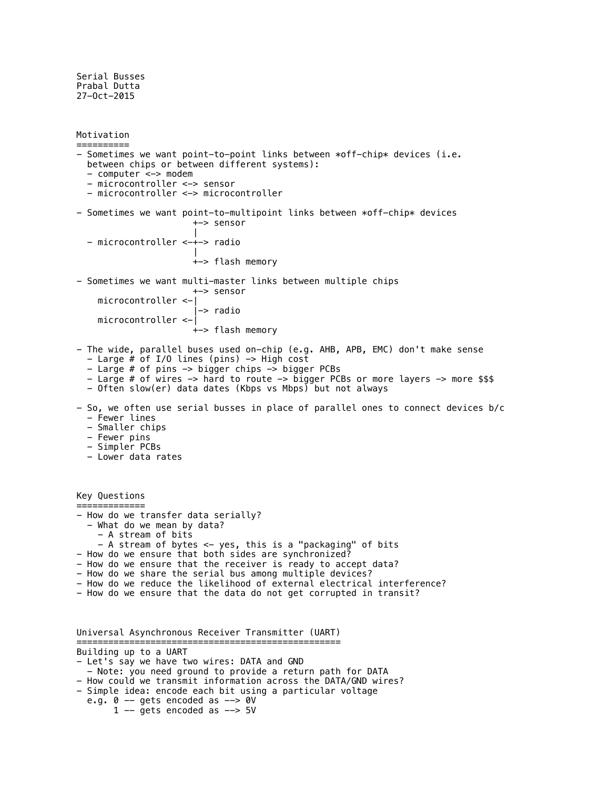Serial Busses Prabal Dutta 27-Oct-2015

```
Motivation
==========
- Sometimes we want point-to-point links between *off-chip* devices (i.e.
   between chips or between different systems):
   - computer <-> modem
   - microcontroller <-> sensor
   - microcontroller <-> microcontroller
- Sometimes we want point-to-multipoint links between *off-chip* devices
                       +-> sensor
 |
   - microcontroller <-+-> radio
 |
                       +-> flash memory
- Sometimes we want multi-master links between multiple chips
                       +-> sensor
     microcontroller <-|
                       |-> radio
     microcontroller <-|
                       +-> flash memory
- The wide, parallel buses used on-chip (e.g. AHB, APB, EMC) don't make sense
   - Large # of I/O lines (pins) -> High cost
   - Large # of pins -> bigger chips -> bigger PCBs
   - Large # of wires -> hard to route -> bigger PCBs or more layers -> more $$$
   - Often slow(er) data dates (Kbps vs Mbps) but not always
- So, we often use serial busses in place of parallel ones to connect devices b/c
   - Fewer lines
   - Smaller chips
   - Fewer pins
   - Simpler PCBs
   - Lower data rates
Key Questions
=============
- How do we transfer data serially?
   - What do we mean by data?
     - A stream of bits
     - A stream of bytes <- yes, this is a "packaging" of bits
- How do we ensure that both sides are synchronized?
- How do we ensure that the receiver is ready to accept data?
- How do we share the serial bus among multiple devices?
- How do we reduce the likelihood of external electrical interference?
- How do we ensure that the data do not get corrupted in transit?
Universal Asynchronous Receiver Transmitter (UART)
                         ==================================================
Building up to a UART
- Let's say we have two wires: DATA and GND
   - Note: you need ground to provide a return path for DATA
- How could we transmit information across the DATA/GND wires?
```
- Simple idea: encode each bit using a particular voltage
- e.g.  $0$  -- gets encoded as --> 0V
	- $1$  -- gets encoded as --> 5V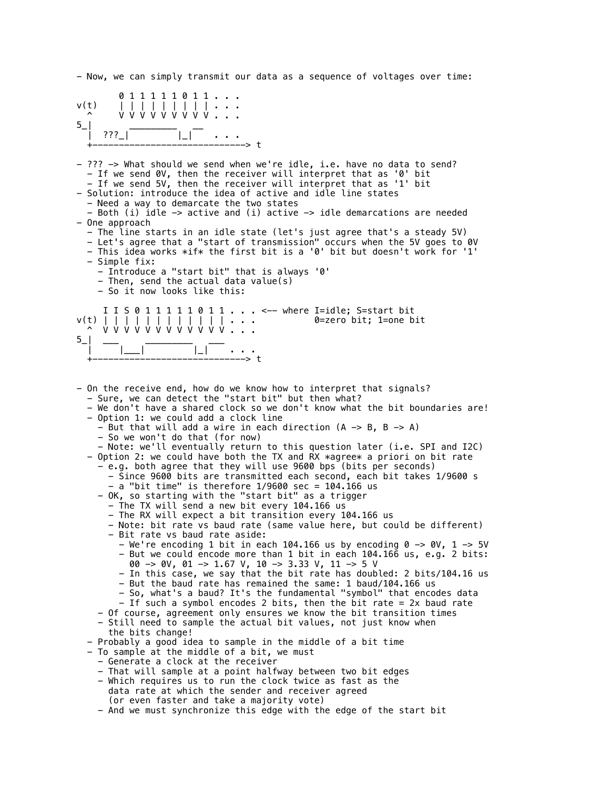- Now, we can simply transmit our data as a sequence of voltages over time:

| $5$ <sub>-</sub> | 011111011<br>v(t)<br>v v v v v v v v v<br>$\sim$<br>$??\ ?$  <br>> t                                                                                                                                                                                                                                                                                                                                                                                                                                                                                                                                                                                                                                                                                                                                                                                                                                                                                                                                                                                                                                                                                                                                                                                                                                                                                                                                                                                                                                                                                                                                                                                                                                                                                                                                                                                                                                                                                                                                                                                                                                                                                              |
|------------------|-------------------------------------------------------------------------------------------------------------------------------------------------------------------------------------------------------------------------------------------------------------------------------------------------------------------------------------------------------------------------------------------------------------------------------------------------------------------------------------------------------------------------------------------------------------------------------------------------------------------------------------------------------------------------------------------------------------------------------------------------------------------------------------------------------------------------------------------------------------------------------------------------------------------------------------------------------------------------------------------------------------------------------------------------------------------------------------------------------------------------------------------------------------------------------------------------------------------------------------------------------------------------------------------------------------------------------------------------------------------------------------------------------------------------------------------------------------------------------------------------------------------------------------------------------------------------------------------------------------------------------------------------------------------------------------------------------------------------------------------------------------------------------------------------------------------------------------------------------------------------------------------------------------------------------------------------------------------------------------------------------------------------------------------------------------------------------------------------------------------------------------------------------------------|
|                  | - ??? -> What should we send when we're idle, i.e. have no data to send?<br>- If we send 0V, then the receiver will interpret that as '0' bit<br>- If we send 5V, then the receiver will interpret that as '1' bit<br>- Solution: introduce the idea of active and idle line states<br>- Need a way to demarcate the two states<br>- Both (i) idle $\rightarrow$ active and (i) active $\rightarrow$ idle demarcations are needed<br>- One approach<br>- The line starts in an idle state (let's just agree that's a steady 5V)<br>- Let's agree that a "start of transmission" occurs when the 5V goes to 0V<br>- This idea works *if* the first bit is a '0' bit but doesn't work for '1'<br>- Simple fix:<br>- Introduce a "start bit" that is always '0'<br>- Then, send the actual data value(s)<br>- So it now looks like this:                                                                                                                                                                                                                                                                                                                                                                                                                                                                                                                                                                                                                                                                                                                                                                                                                                                                                                                                                                                                                                                                                                                                                                                                                                                                                                                             |
| $5$ <sup>-</sup> | I I S 0 1 1 1 1 1 0 1 1 <-- where I=idle; S=start bit<br>0=zero bit; 1=one bit                                                                                                                                                                                                                                                                                                                                                                                                                                                                                                                                                                                                                                                                                                                                                                                                                                                                                                                                                                                                                                                                                                                                                                                                                                                                                                                                                                                                                                                                                                                                                                                                                                                                                                                                                                                                                                                                                                                                                                                                                                                                                    |
|                  | - On the receive end, how do we know how to interpret that signals?<br>- Sure, we can detect the "start bit" but then what?<br>- We don't have a shared clock so we don't know what the bit boundaries are!<br>- Option 1: we could add a clock line<br>- But that will add a wire in each direction $(A \rightarrow B, B \rightarrow A)$<br>- So we won't do that (for now)<br>- Note: we'll eventually return to this question later (i.e. SPI and I2C)<br>- Option 2: we could have both the TX and RX *agree* a priori on bit rate<br>- e.g. both agree that they will use 9600 bps (bits per seconds)<br>- Since 9600 bits are transmitted each second, each bit takes 1/9600 s<br>$-$ a "bit time" is therefore 1/9600 sec = 104.166 us<br>- OK, so starting with the "start bit" as a trigger<br>- The TX will send a new bit every 104.166 us<br>- The RX will expect a bit transition every 104.166 us<br>- Note: bit rate vs baud rate (same value here, but could be different)<br>- Bit rate vs baud rate aside:<br>- We're encoding 1 bit in each 104.166 us by encoding $0 \rightarrow 0V$ , 1 -> 5V<br>- But we could encode more than 1 bit in each 104.166 us, e.g. 2 bits:<br>00 -> 0V, 01 -> 1.67 V, 10 -> 3.33 V, 11 -> 5 V<br>- In this case, we say that the bit rate has doubled: 2 bits/104.16 us<br>- But the baud rate has remained the same: 1 baud/104.166 us<br>- So, what's a baud? It's the fundamental "symbol" that encodes data<br>- If such a symbol encodes 2 bits, then the bit rate = 2x baud rate<br>- Of course, agreement only ensures we know the bit transition times<br>- Still need to sample the actual bit values, not just know when<br>the bits change!<br>- Probably a good idea to sample in the middle of a bit time<br>- To sample at the middle of a bit, we must<br>- Generate a clock at the receiver<br>- That will sample at a point halfway between two bit edges<br>- Which requires us to run the clock twice as fast as the<br>data rate at which the sender and receiver agreed<br>(or even faster and take a majority vote)<br>- And we must synchronize this edge with the edge of the start bit |